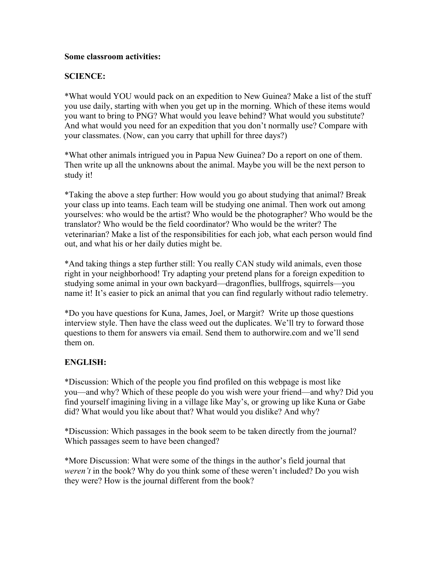## **Some classroom activities:**

## **SCIENCE:**

\*What would YOU would pack on an expedition to New Guinea? Make a list of the stuff you use daily, starting with when you get up in the morning. Which of these items would you want to bring to PNG? What would you leave behind? What would you substitute? And what would you need for an expedition that you don't normally use? Compare with your classmates. (Now, can you carry that uphill for three days?)

\*What other animals intrigued you in Papua New Guinea? Do a report on one of them. Then write up all the unknowns about the animal. Maybe you will be the next person to study it!

\*Taking the above a step further: How would you go about studying that animal? Break your class up into teams. Each team will be studying one animal. Then work out among yourselves: who would be the artist? Who would be the photographer? Who would be the translator? Who would be the field coordinator? Who would be the writer? The veterinarian? Make a list of the responsibilities for each job, what each person would find out, and what his or her daily duties might be.

\*And taking things a step further still: You really CAN study wild animals, even those right in your neighborhood! Try adapting your pretend plans for a foreign expedition to studying some animal in your own backyard—dragonflies, bullfrogs, squirrels—you name it! It's easier to pick an animal that you can find regularly without radio telemetry.

\*Do you have questions for Kuna, James, Joel, or Margit? Write up those questions interview style. Then have the class weed out the duplicates. We'll try to forward those questions to them for answers via email. Send them to authorwire.com and we'll send them on.

## **ENGLISH:**

\*Discussion: Which of the people you find profiled on this webpage is most like you—and why? Which of these people do you wish were your friend—and why? Did you find yourself imagining living in a village like May's, or growing up like Kuna or Gabe did? What would you like about that? What would you dislike? And why?

\*Discussion: Which passages in the book seem to be taken directly from the journal? Which passages seem to have been changed?

\*More Discussion: What were some of the things in the author's field journal that *weren't* in the book? Why do you think some of these weren't included? Do you wish they were? How is the journal different from the book?